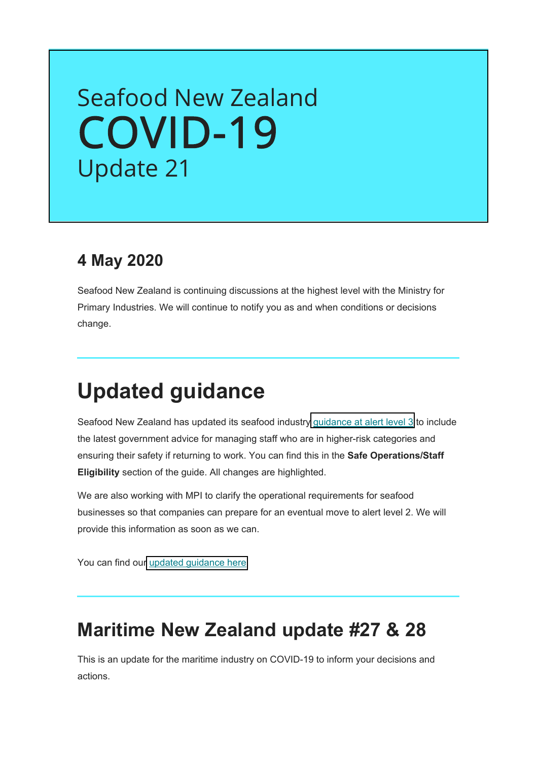# Seafood New Zealand [COVID-19](https://seafood.org.nz/industry/covid-19-information/#c718) Update 21

### **4 May 2020**

Seafood New Zealand is continuing discussions at the highest level with the Ministry for Primary Industries. We will continue to notify you as and when conditions or decisions change.

## **Updated guidance**

Seafood New Zealand has updated its seafood industry [guidance at alert level 3](https://seafood.org.nz/fileadmin/user_upload/Seafood_New_Zealand_-_Guidance_for_the_seafood_industry_at_COVID-19_alert_level_3.docx) to include the latest government advice for managing staff who are in higher-risk categories and ensuring their safety if returning to work. You can find this in the **Safe Operations/Staff Eligibility** section of the guide. All changes are highlighted.

We are also working with MPI to clarify the operational requirements for seafood businesses so that companies can prepare for an eventual move to alert level 2. We will provide this information as soon as we can.

You can find ou[r updated guidance here.](https://seafood.org.nz/fileadmin/user_upload/Seafood_New_Zealand_-_Guidance_for_the_seafood_industry_at_COVID-19_alert_level_3.docx)

### **Maritime New Zealand update #27 & 28**

This is an update for the maritime industry on COVID-19 to inform your decisions and actions.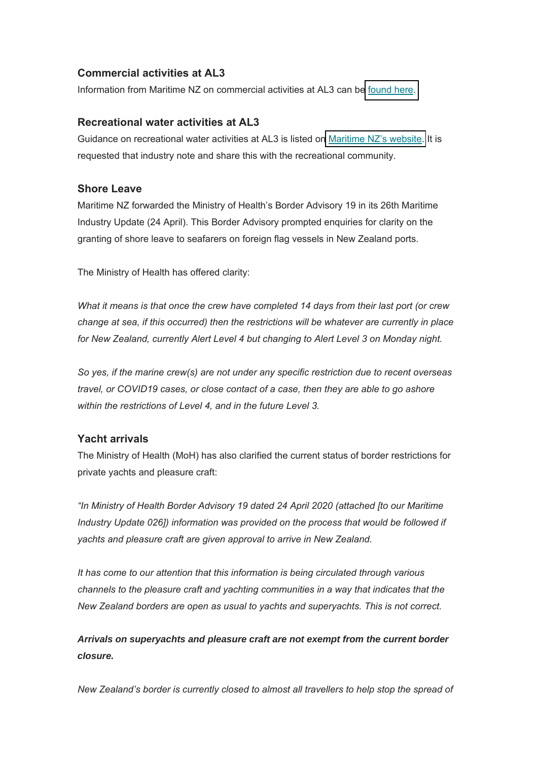#### **Commercial activities at AL3**

Information from Maritime NZ on commercial activities at AL3 can b[e found here.](https://www.maritimenz.govt.nz/commercial/)

#### **Recreational water activities at AL3**

Guidance on recreational water activities at AL3 is listed o[n Maritime NZ's website.](https://www.maritimenz.govt.nz/recreational/) It is requested that industry note and share this with the recreational community.

#### **Shore Leave**

Maritime NZ forwarded the Ministry of Health's Border Advisory 19 in its 26th Maritime Industry Update (24 April). This Border Advisory prompted enquiries for clarity on the granting of shore leave to seafarers on foreign flag vessels in New Zealand ports.

The Ministry of Health has offered clarity:

*What it means is that once the crew have completed 14 days from their last port (or crew change at sea, if this occurred) then the restrictions will be whatever are currently in place for New Zealand, currently Alert Level 4 but changing to Alert Level 3 on Monday night.*

*So yes, if the marine crew(s) are not under any specific restriction due to recent overseas travel, or COVID19 cases, or close contact of a case, then they are able to go ashore within the restrictions of Level 4, and in the future Level 3.*

#### **Yacht arrivals**

The Ministry of Health (MoH) has also clarified the current status of border restrictions for private yachts and pleasure craft:

*"In Ministry of Health Border Advisory 19 dated 24 April 2020 (attached [to our Maritime*  Industry Update 026]) information was provided on the process that would be followed if *yachts and pleasure craft are given approval to arrive in New Zealand.*

*It has come to our attention that this information is being circulated through various channels to the pleasure craft and yachting communities in a way that indicates that the New Zealand borders are open as usual to yachts and superyachts. This is not correct.*

#### *Arrivals on superyachts and pleasure craft are not exempt from the current border closure.*

*New Zealand's border is currently closed to almost all travellers to help stop the spread of*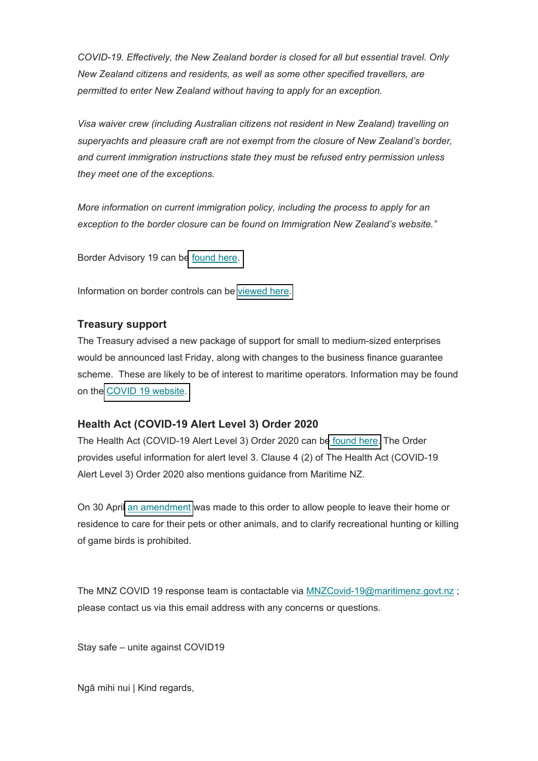*COVID-19. Effectively, the New Zealand border is closed for all but essential travel. Only New Zealand citizens and residents, as well as some other specified travellers, are permitted to enter New Zealand without having to apply for an exception.*

*Visa waiver crew (including Australian citizens not resident in New Zealand) travelling on superyachts and pleasure craft are not exempt from the closure of New Zealand's border, and current immigration instructions state they must be refused entry permission unless they meet one of the exceptions.*

*More information on current immigration policy, including the process to apply for an exception to the border closure can be found on Immigration New Zealand's website."*

Border Advisory 19 can b[e found here.](https://www.dropbox.com/s/ls2zjl3yfik05k6/MOH%20-%20Border%20advisory%20%2819%29%20-%2024%20April%202020.docx?dl=0)

Information on border controls can be [viewed here.](https://www.health.govt.nz/our-work/diseases-and-conditions/covid-19-novel-coronavirus/covid-19-current-situation/covid-19-border-controls)

#### **Treasury support**

The Treasury advised a new package of support for small to medium-sized enterprises would be announced last Friday, along with changes to the business finance guarantee scheme. These are likely to be of interest to maritime operators. Information may be found on th[e COVID 19 website.](https://covid19.govt.nz/businesses-and-employees/businesses-and-services/financial-support-for-businesses/)

#### **Health Act (COVID-19 Alert Level 3) Order 2020**

The Health Act (COVID-19 Alert Level 3) Order 2020 can b[e found here.](http://www.legislation.govt.nz/regulation/public/2020/0069/latest/LMS339017.html?search=ts_act%40bill%40regulation%40deemedreg_alert_resel_25_a&p=1#LMS339020) The Order provides useful information for alert level 3. Clause 4 (2) of The Health Act (COVID-19 Alert Level 3) Order 2020 also mentions guidance from Maritime NZ.

On 30 Apri[l an amendment](http://www.legislation.govt.nz/regulation/public/2020/0072/latest/whole.html) was made to this order to allow people to leave their home or residence to care for their pets or other animals, and to clarify recreational hunting or killing of game birds is prohibited.

The MNZ COVID 19 response team is contactable via MNZCovid-19@maritimenz.govt.nz ; please contact us via this email address with any concerns or questions.

Stay safe – unite against COVID19

Ngā mihi nui | Kind regards,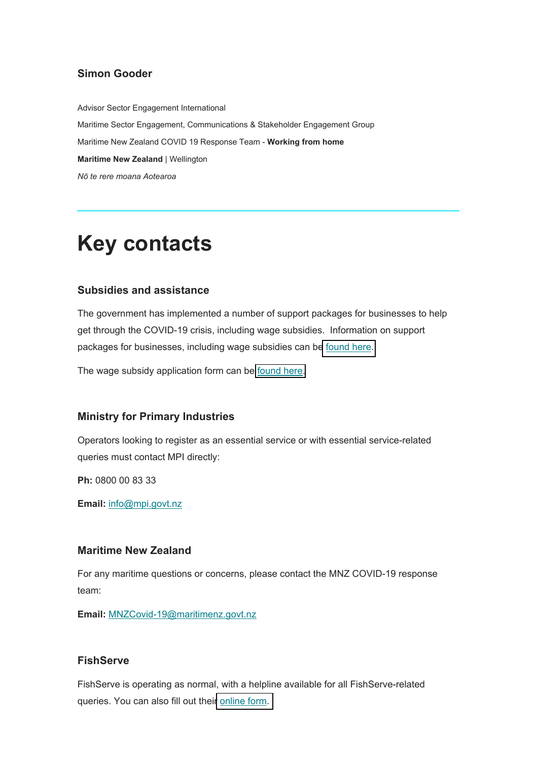#### **Simon Gooder**

Advisor Sector Engagement International Maritime Sector Engagement, Communications & Stakeholder Engagement Group Maritime New Zealand COVID 19 Response Team - **Working from home Maritime New Zealand** | Wellington *Nō te rere moana Aotearoa*

## **Key contacts**

#### **Subsidies and assistance**

The government has implemented a number of support packages for businesses to help get through the COVID-19 crisis, including wage subsidies. Information on support packages for businesses, including wage subsidies can b[e found here.](https://workandincome.govt.nz/covid-19/index.html)

The wage subsidy application form can be [found here.](https://services.workandincome.govt.nz/ess/trader_applications/new)

#### **Ministry for Primary Industries**

Operators looking to register as an essential service or with essential service-related queries must contact MPI directly:

**Ph:** 0800 00 83 33

**Email:** info@mpi.govt.nz

#### **Maritime New Zealand**

For any maritime questions or concerns, please contact the MNZ COVID-19 response team:

**Email:** MNZCovid-19@maritimenz.govt.nz

#### **FishServe**

FishServe is operating as normal, with a helpline available for all FishServe-related queries. You can also fill out thei[r online form.](https://register.kupe.fishserve.co.nz/contactus)